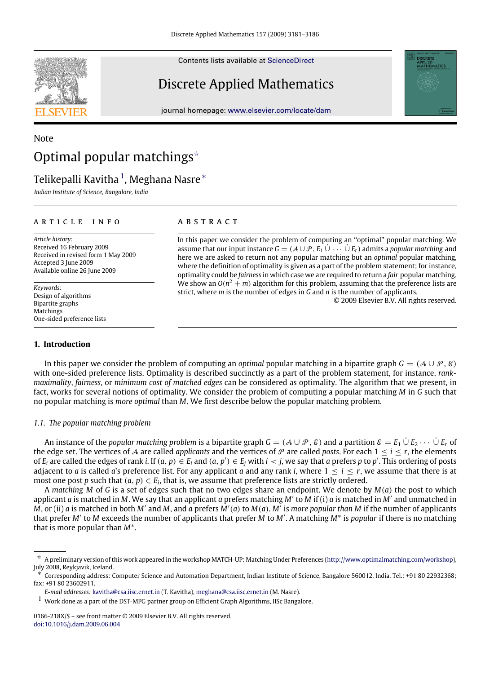Contents lists available at [ScienceDirect](http://www.elsevier.com/locate/dam)

# Discrete Applied Mathematics

journal homepage: [www.elsevier.com/locate/dam](http://www.elsevier.com/locate/dam)

# Note Optimal popular matchings<sup> $\triangle$ </sup>

# Telikepalli Kavitha <sup>[1](#page-0-1)</sup>, Meghana Nasre \*

*Indian Institute of Science, Bangalore, India*

### ARTICLE INFO

*Article history:* Received 16 February 2009 Received in revised form 1 May 2009 Accepted 3 June 2009 Available online 26 June 2009

*Keywords:* Design of algorithms Bipartite graphs Matchings One-sided preference lists

# **1. Introduction**

# A B S T R A C T

In this paper we consider the problem of computing an ''optimal'' popular matching. We assume that our input instance  $G = (A \cup P, E_1 \cup \cdots \cup E_r)$  admits a *popular matching* and here we are asked to return not any popular matching but an *optimal* popular matching, where the definition of optimality is given as a part of the problem statement; for instance, optimality could be *fairness* in which case we are required to return a *fair* popular matching. We show an  $O(n^2 + m)$  algorithm for this problem, assuming that the preference lists are strict, where *m* is the number of edges in *G* and *n* is the number of applicants.

© 2009 Elsevier B.V. All rights reserved.

In this paper we consider the problem of computing an *optimal* popular matching in a bipartite graph  $G = (A \cup P, \mathcal{E})$ with one-sided preference lists. Optimality is described succinctly as a part of the problem statement, for instance, *rankmaximality*, *fairness*, or *minimum cost of matched edges* can be considered as optimality. The algorithm that we present, in fact, works for several notions of optimality. We consider the problem of computing a popular matching *M* in *G* such that no popular matching is *more optimal* than *M*. We first describe below the popular matching problem.

### *1.1. The popular matching problem*

An instance of the *popular matching problem* is a bipartite graph  $G = (\mathcal{A} \cup \mathcal{P}, \mathcal{E})$  and a partition  $\mathcal{E} = E_1 \cup E_2 \cdots \cup E_r$  of the edge set. The vertices of A are called *applicants* and the vertices of P are called *posts*. For each  $1 \le i \le r$ , the elements of  $E_i$  are called the edges of rank i. If  $(a, p) \in E_i$  and  $(a, p') \in E_j$  with  $i < j$ , we say that a prefers p to p'. This ordering of posts adjacent to *a* is called *a*'s preference list. For any applicant *a* and any rank *i*, where  $1 \le i \le r$ , we assume that there is at most one post p such that  $(a, p) \in E_i$ , that is, we assume that preference lists are strictly ordered.

A *matching M* of *G* is a set of edges such that no two edges share an endpoint. We denote by *M*(*a*) the post to which applicant *a* is matched in *M*. We say that an applicant *a* prefers matching *M*′ to *M* if (i) *a* is matched in *M*′ and unmatched in *M*, or (ii) *a* is matched in both *M*′ and *M*, and *a* prefers *M*′ (*a*) to *M*(*a*). *M*′ is *more popular than M* if the number of applicants that prefer *M*′ to *M* exceeds the number of applicants that prefer *M* to *M*′ . A matching *M*<sup>∗</sup> is *popular* if there is no matching that is more popular than *M*<sup>∗</sup> .





<span id="page-0-0"></span> $\vec{p}$  A preliminary version of this work appeared in the workshop MATCH-UP: Matching Under Preferences [\(http://www.optimalmatching.com/workshop\)](http://www.optimalmatching.com/workshop), July 2008, Reykjavik, Iceland.

<span id="page-0-2"></span><sup>∗</sup> Corresponding address: Computer Science and Automation Department, Indian Institute of Science, Bangalore 560012, India. Tel.: +91 80 22932368; fax: +91 80 23602911.

*E-mail addresses:* [kavitha@csa.iisc.ernet.in](mailto:kavitha@csa.iisc.ernet.in) (T. Kavitha), [meghana@csa.iisc.ernet.in](mailto:meghana@csa.iisc.ernet.in) (M. Nasre).

<span id="page-0-1"></span> $^{\rm 1}$  Work done as a part of the DST-MPG partner group on Efficient Graph Algorithms, IISc Bangalore.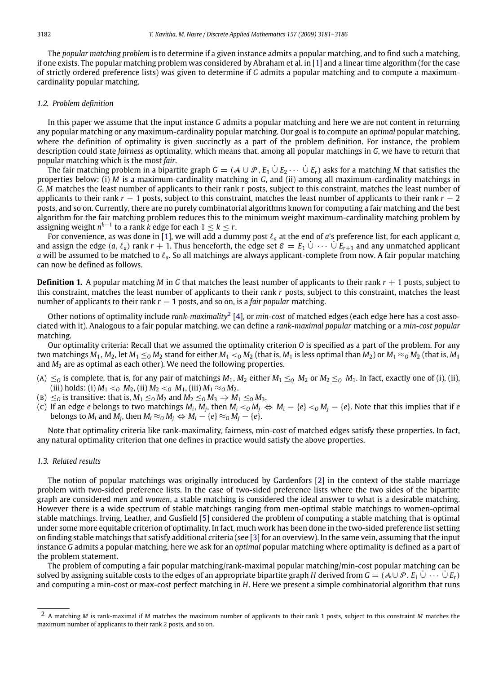The *popular matching problem* is to determine if a given instance admits a popular matching, and to find such a matching, if one exists. The popular matching problem was considered by Abraham et al. in [\[1\]](#page-5-0) and a linear time algorithm (for the case of strictly ordered preference lists) was given to determine if *G* admits a popular matching and to compute a maximumcardinality popular matching.

### *1.2. Problem definition*

In this paper we assume that the input instance *G* admits a popular matching and here we are not content in returning any popular matching or any maximum-cardinality popular matching. Our goal is to compute an *optimal* popular matching, where the definition of optimality is given succinctly as a part of the problem definition. For instance, the problem description could state *fairness* as optimality, which means that, among all popular matchings in *G*, we have to return that popular matching which is the most *fair*.

The fair matching problem in a bipartite graph  $G = (A \cup \mathcal{P}, E_1 \cup E_2 \cdots \cup E_r)$  asks for a matching M that satisfies the properties below: (i) *M* is a maximum-cardinality matching in *G*, and (ii) among all maximum-cardinality matchings in *G*, *M* matches the least number of applicants to their rank *r* posts, subject to this constraint, matches the least number of applicants to their rank *r* − 1 posts, subject to this constraint, matches the least number of applicants to their rank *r* − 2 posts, and so on. Currently, there are no purely combinatorial algorithms known for computing a fair matching and the best algorithm for the fair matching problem reduces this to the minimum weight maximum-cardinality matching problem by assigning weight  $n^{k-1}$  to a rank *k* edge for each  $1 \leq k \leq r$ .

For convenience, as was done in [\[1\]](#page-5-0), we will add a dummy post ℓ*<sup>a</sup>* at the end of *a*'s preference list, for each applicant *a*, and assign the edge  $(a, \ell_a)$  rank  $r + 1$ . Thus henceforth, the edge set  $\varepsilon = E_1 \cup \cdots \cup E_{r+1}$  and any unmatched applicant *a* will be assumed to be matched to  $\ell_a$ . So all matchings are always applicant-complete from now. A fair popular matching can now be defined as follows.

**Definition 1.** A popular matching *M* in *G* that matches the least number of applicants to their rank  $r + 1$  posts, subject to this constraint, matches the least number of applicants to their rank *r* posts, subject to this constraint, matches the least number of applicants to their rank  $r - 1$  posts, and so on, is a *fair popular* matching.

Other notions of optimality include *rank-maximality*[2](#page-1-0) [\[4\]](#page-5-1), or *min-cost* of matched edges (each edge here has a cost associated with it). Analogous to a fair popular matching, we can define a *rank-maximal popular* matching or a *min-cost popular* matching.

Our optimality criteria: Recall that we assumed the optimality criterion *O* is specified as a part of the problem. For any two matchings  $M_1$ ,  $M_2$ , let  $M_1 \leq_0 M_2$  stand for either  $M_1 <_0 M_2$  (that is,  $M_1$  is less optimal than  $M_2$ ) or  $M_1 \approx_0 M_2$  (that is,  $M_1$ and  $M<sub>2</sub>$  are as optimal as each other). We need the following properties.

- (a)  $\leq$ <sub>0</sub> is complete, that is, for any pair of matchings  $M_1$ ,  $M_2$  either  $M_1 \leq$ <sub>0</sub>  $M_2$  or  $M_2 \leq$ <sub>0</sub>  $M_1$ . In fact, exactly one of (i), (ii), (iii) holds: (i)  $M_1 <_0 M_2$ , (ii)  $M_2 <_0 M_1$ , (iii)  $M_1 \approx_0 M_2$ .
- ( $B) \leq_0$  is transitive: that is,  $M_1 \leq_0 M_2$  and  $M_2 \leq_0 M_3 \Rightarrow M_1 \leq_0 M_3$ .
- (c) If an edge  $e$  belongs to two matchings  $M_i, M_j$ , then  $M_i <_O M_j \Leftrightarrow M_i \{e\} <_O M_j \{e\}.$  Note that this implies that if  $e$ belongs to  $M_i$  and  $M_j$ , then  $M_i \approx_{\mathcal{O}} M_j \Leftrightarrow M_i - \{e\} \approx_{\mathcal{O}} M_j - \{e\}.$

Note that optimality criteria like rank-maximality, fairness, min-cost of matched edges satisfy these properties. In fact, any natural optimality criterion that one defines in practice would satisfy the above properties.

#### *1.3. Related results*

The notion of popular matchings was originally introduced by Gardenfors [\[2\]](#page-5-2) in the context of the stable marriage problem with two-sided preference lists. In the case of two-sided preference lists where the two sides of the bipartite graph are considered *men* and *women*, a stable matching is considered the ideal answer to what is a desirable matching. However there is a wide spectrum of stable matchings ranging from men-optimal stable matchings to women-optimal stable matchings. Irving, Leather, and Gusfield [\[5\]](#page-5-3) considered the problem of computing a stable matching that is optimal under some more equitable criterion of optimality. In fact, much work has been done in the two-sided preference list setting on finding stable matchings that satisfy additional criteria (see [\[3\]](#page-5-4) for an overview). In the same vein, assuming that the input instance *G* admits a popular matching, here we ask for an *optimal* popular matching where optimality is defined as a part of the problem statement.

The problem of computing a fair popular matching/rank-maximal popular matching/min-cost popular matching can be solved by assigning suitable costs to the edges of an appropriate bipartite graph *H* derived from  $G = (A \cup P, E_1 \cup \cdots \cup E_r)$ and computing a min-cost or max-cost perfect matching in *H*. Here we present a simple combinatorial algorithm that runs

<span id="page-1-0"></span><sup>2</sup> A matching *M* is rank-maximal if *M* matches the maximum number of applicants to their rank 1 posts, subject to this constraint *M* matches the maximum number of applicants to their rank 2 posts, and so on.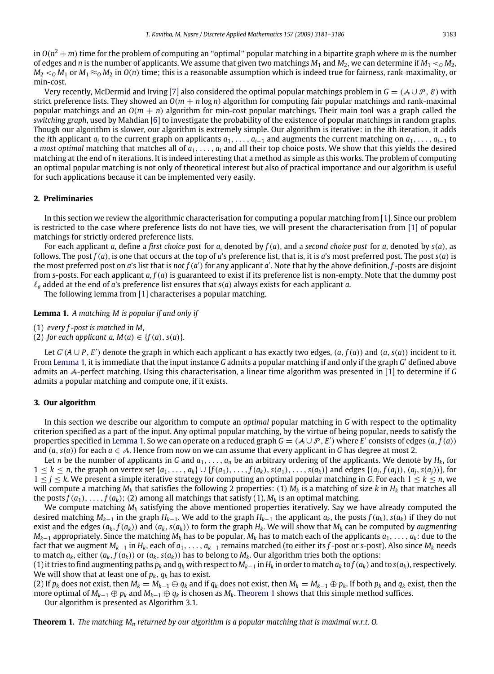in  $O(n^2+m)$  time for the problem of computing an "optimal" popular matching in a bipartite graph where m is the number of edges and *n* is the number of applicants. We assume that given two matchings  $M_1$  and  $M_2$ , we can determine if  $M_1 < o M_2$ ,  $M_2 <sub>0</sub>$  *M*<sub>1</sub> or *M*<sub>1</sub>  $\approx$ <sub>0</sub> *M*<sub>2</sub> in *O*(*n*) time; this is a reasonable assumption which is indeed true for fairness, rank-maximality, or min-cost.

Very recently, McDermid and Irving [\[7\]](#page-5-5) also considered the optimal popular matchings problem in  $G = (A \cup P, \mathcal{E})$  with strict preference lists. They showed an  $O(m + n \log n)$  algorithm for computing fair popular matchings and rank-maximal popular matchings and an *O*(*m* + *n*) algorithm for min-cost popular matchings. Their main tool was a graph called the *switching graph*, used by Mahdian [\[6\]](#page-5-6) to investigate the probability of the existence of popular matchings in random graphs. Though our algorithm is slower, our algorithm is extremely simple. Our algorithm is iterative: in the *i*th iteration, it adds the *i*th applicant  $a_i$  to the current graph on applicants  $a_1, \ldots, a_{i-1}$  and augments the current matching on  $a_1, \ldots, a_{i-1}$  to a *most optimal* matching that matches all of *a*1, .. . , *a<sup>i</sup>* and all their top choice posts. We show that this yields the desired matching at the end of *n* iterations. It is indeed interesting that a method as simple as this works. The problem of computing an optimal popular matching is not only of theoretical interest but also of practical importance and our algorithm is useful for such applications because it can be implemented very easily.

# **2. Preliminaries**

In this section we review the algorithmic characterisation for computing a popular matching from [\[1\]](#page-5-0). Since our problem is restricted to the case where preference lists do not have ties, we will present the characterisation from [\[1\]](#page-5-0) of popular matchings for strictly ordered preference lists.

For each applicant *a*, define a *first choice post* for *a*, denoted by *f*(*a*), and a *second choice post* for *a*, denoted by *s*(*a*), as follows. The post *f*(*a*), is one that occurs at the top of *a*'s preference list, that is, it is *a*'s most preferred post. The post *s*(*a*) is the most preferred post on *a*'s list that is *not*  $f(a')$  for any applicant  $a'$ . Note that by the above definition,  $f$ -posts are disjoint from *s*-posts. For each applicant *a*, *f*(*a*) is guaranteed to exist if its preference list is non-empty. Note that the dummy post  $\ell_a$  added at the end of *a*'s preference list ensures that  $s(a)$  always exists for each applicant *a*.

<span id="page-2-0"></span>The following lemma from [\[1\]](#page-5-0) characterises a popular matching.

**Lemma 1.** *A matching M is popular if and only if*

- (1) *every f -post is matched in M,*
- (2) *for each applicant a,*  $M(a) \in \{f(a), s(a)\}.$

Let  $G'(A \cup P, E')$  denote the graph in which each applicant *a* has exactly two edges,  $(a, f(a))$  and  $(a, s(a))$  incident to it. From [Lemma 1,](#page-2-0) it is immediate that the input instance *G* admits a popular matching if and only if the graph *G* ′ defined above admits an A-perfect matching. Using this characterisation, a linear time algorithm was presented in [\[1\]](#page-5-0) to determine if *G* admits a popular matching and compute one, if it exists.

#### **3. Our algorithm**

In this section we describe our algorithm to compute an *optimal* popular matching in *G* with respect to the optimality criterion specified as a part of the input. Any optimal popular matching, by the virtue of being popular, needs to satisfy the properties specified in [Lemma 1.](#page-2-0) So we can operate on a reduced graph  $G = (A \cup P, E')$  where  $E'$  consists of edges  $(a, f(a))$ and  $(a, s(a))$  for each  $a \in \mathcal{A}$ . Hence from now on we can assume that every applicant in *G* has degree at most 2.

Let *n* be the number of applicants in *G* and *a*1, .. . , *a<sup>n</sup>* be an arbitrary ordering of the applicants. We denote by *Hk*, for  $1 \leq k \leq n$ , the graph on vertex set  $\{a_1, \ldots, a_k\} \cup \{f(a_1), \ldots, f(a_k), s(a_1), \ldots, s(a_k)\}\$  and edges  $\{(a_i, f(a_i)), (a_i, s(a_i))\}$ , for 1 ≤ *j* ≤ *k*. We present a simple iterative strategy for computing an optimal popular matching in *G*. For each 1 ≤ *k* ≤ *n*, we will compute a matching  $M_k$  that satisfies the following 2 properties: (1)  $M_k$  is a matching of size  $k$  in  $H_k$  that matches all the posts  $f(a_1), \ldots, f(a_k)$ ; (2) among all matchings that satisfy (1),  $M_k$  is an optimal matching.

We compute matching  $M_k$  satisfying the above mentioned properties iteratively. Say we have already computed the desired matching  $M_{k-1}$  in the graph  $H_{k-1}$ . We add to the graph  $H_{k-1}$  the applicant  $a_k$ , the posts  $f(a_k)$ ,  $s(a_k)$  if they do not exist and the edges  $(a_k, f(a_k))$  and  $(a_k, s(a_k))$  to form the graph  $H_k$ . We will show that  $M_k$  can be computed by augmenting  $M_{k-1}$  appropriately. Since the matching  $M_k$  has to be popular,  $M_k$  has to match each of the applicants  $a_1, \ldots, a_k$ : due to the fact that we augment  $M_{k-1}$  in  $H_k$ , each of  $a_1, \ldots, a_{k-1}$  remains matched (to either its *f*-post or *s*-post). Also since  $M_k$  needs to match  $a_k$ , either  $(a_k, f(a_k))$  or  $(a_k, s(a_k))$  has to belong to  $M_k$ . Our algorithm tries both the options:

(1) it tries to find augmenting paths  $p_k$  and  $q_k$  with respect to  $M_{k-1}$  in  $H_k$  in order to match  $a_k$  to  $f(a_k)$  and to  $s(a_k)$ , respectively. We will show that at least one of  $p_k$ ,  $q_k$  has to exist.

(2) If  $p_k$  does not exist, then  $M_k = M_{k-1} \oplus q_k$  and if  $q_k$  does not exist, then  $M_k = M_{k-1} \oplus p_k$ . If both  $p_k$  and  $q_k$  exist, then the more optimal of  $M_{k-1} \oplus p_k$  and  $M_{k-1} \oplus q_k$  is chosen as  $M_k$ . [Theorem 1](#page-2-1) shows that this simple method suffices.

<span id="page-2-1"></span>Our algorithm is presented as Algorithm 3.1.

**Theorem 1.** *The matching M<sup>n</sup> returned by our algorithm is a popular matching that is maximal w.r.t. O.*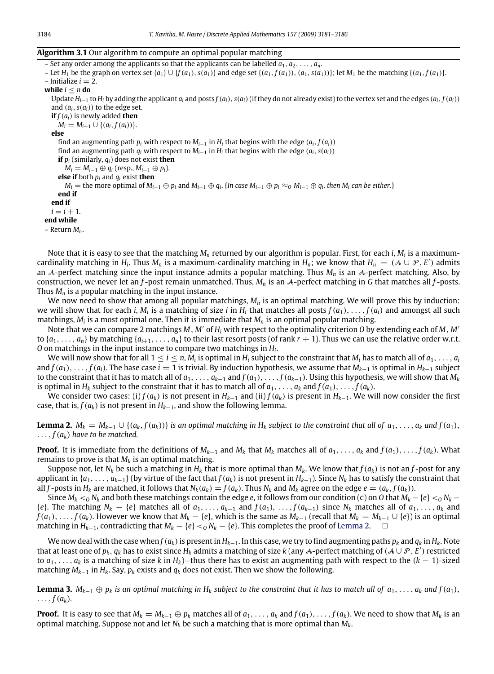#### **Algorithm 3.1** Our algorithm to compute an optimal popular matching

– Set any order among the applicants so that the applicants can be labelled  $a_1, a_2, \ldots, a_n$ . - Let  $H_1$  be the graph on vertex set  $\{a_1\} \cup \{f(a_1), s(a_1)\}$  and edge set  $\{(a_1, f(a_1)), (a_1, s(a_1))\}$ ; let  $M_1$  be the matching  $\{(a_1, f(a_1))\}$ .  $-$ Initialize  $i = 2$ . **while**  $i < n$  **do** Update  $H_{i-1}$  to  $H_i$  by adding the applicant  $a_i$  and posts  $f(a_i)$ ,  $s(a_i)$  (if they do not already exist) to the vertex set and the edges  $(a_i, f(a_i))$ and  $(a_i, s(a_i))$  to the edge set. **if**  $f(a_i)$  is newly added **then**  $M_i = M_{i-1} \cup \{(a_i, f(a_i))\}.$ **else** find an augmenting path  $p_i$  with respect to  $M_{i-1}$  in  $H_i$  that begins with the edge  $(a_i, f(a_i))$ find an augmenting path  $q_i$  with respect to  $M_{i-1}$  in  $H_i$  that begins with the edge  $(a_i, s(a_i))$ **if** *p<sup>i</sup>* (similarly, *qi*) does not exist **then**  $M_i = M_{i-1} ⊕ q_i$  (resp.,  $M_{i-1} ⊕ p_i$ ). **else if** both *p<sup>i</sup>* and *q<sup>i</sup>* exist **then**  $M_i=$  the more optimal of  $M_{i-1}\oplus p_i$  and  $M_{i-1}\oplus q_i$ . {In case  $M_{i-1}\oplus p_i\approx_Q M_{i-1}\oplus q_i$ , then  $M_i$  can be either.} **end if end if**  $i = i + 1.$ **end while** – Return *Mn*.

Note that it is easy to see that the matching *M<sup>n</sup>* returned by our algorithm is popular. First, for each *i*, *M<sup>i</sup>* is a maximumcardinality matching in *H*<sub>*i*</sub>. Thus *M*<sub>*n*</sub> is a maximum-cardinality matching in *H*<sub>*n*</sub>; we know that *H*<sub>*n*</sub> = (A  $\cup$  P, *E'*) admits an A-perfect matching since the input instance admits a popular matching. Thus *M<sup>n</sup>* is an A-perfect matching. Also, by construction, we never let an *f* -post remain unmatched. Thus, *M<sup>n</sup>* is an A-perfect matching in *G* that matches all *f* -posts. Thus  $M_n$  is a popular matching in the input instance.

We now need to show that among all popular matchings, *M<sup>n</sup>* is an optimal matching. We will prove this by induction: we will show that for each *i*,  $M_i$  is a matching of size *i* in  $H_i$  that matches all posts  $f(a_1), \ldots, f(a_i)$  and amongst all such matchings,  $M_i$  is a most optimal one. Then it is immediate that  $M_n$  is an optimal popular matching.

Note that we can compare 2 matchings *M*, *M*′ of *H<sup>i</sup>* with respect to the optimality criterion *O* by extending each of *M*, *M*′ to  $\{a_1, \ldots, a_n\}$  by matching  $\{a_{i+1}, \ldots, a_n\}$  to their last resort posts (of rank  $r + 1$ ). Thus we can use the relative order w.r.t. *O* on matchings in the input instance to compare two matchings in *H<sup>i</sup>* .

We will now show that for all  $1\leq i\leq n$ ,  $M_i$  is optimal in  $H_i$  subject to the constraint that  $M_i$  has to match all of  $a_1,\dots,a_i$ and  $f(a_1), \ldots, f(a_i)$ . The base case  $i = 1$  is trivial. By induction hypothesis, we assume that  $M_{k-1}$  is optimal in  $H_{k-1}$  subject to the constraint that it has to match all of  $a_1, \ldots, a_{k-1}$  and  $f(a_1), \ldots, f(a_{k-1})$ . Using this hypothesis, we will show that  $M_k$ is optimal in  $H_k$  subject to the constraint that it has to match all of  $a_1, \ldots, a_k$  and  $f(a_1), \ldots, f(a_k)$ .

We consider two cases: (i)  $f(a_k)$  is not present in  $H_{k-1}$  and (ii)  $f(a_k)$  is present in  $H_{k-1}$ . We will now consider the first case, that is,  $f(a_k)$  is not present in  $H_{k-1}$ , and show the following lemma.

<span id="page-3-0"></span>**Lemma 2.**  $M_k = M_{k-1} \cup \{(a_k, f(a_k))\}$  is an optimal matching in  $H_k$  subject to the constraint that all of  $a_1, \ldots, a_k$  and  $f(a_1)$ ,  $\ldots$ ,  $f(a_k)$  have to be matched.

**Proof.** It is immediate from the definitions of  $M_{k-1}$  and  $M_k$  that  $M_k$  matches all of  $a_1, \ldots, a_k$  and  $f(a_1), \ldots, f(a_k)$ . What remains to prove is that *M<sup>k</sup>* is an optimal matching.

Suppose not, let  $N_k$  be such a matching in  $H_k$  that is more optimal than  $M_k$ . We know that  $f(a_k)$  is not an  $f$ -post for any applicant in  $\{a_1, \ldots, a_{k-1}\}$  (by virtue of the fact that  $f(a_k)$  is not present in  $H_{k-1}$ ). Since  $N_k$  has to satisfy the constraint that all f-posts in  $H_k$  are matched, it follows that  $N_k(a_k) = f(a_k)$ . Thus  $N_k$  and  $M_k$  agree on the edge  $e = (a_k, f(a_k))$ .

Since  $M_k <_0 N_k$  and both these matchings contain the edge *e*, it follows from our condition (c) on 0 that  $M_k - \{e\} <_0 N_k$  −  $\{e\}$ . The matching  $N_k - \{e\}$  matches all of  $a_1, \ldots, a_{k-1}$  and  $f(a_1), \ldots, f(a_{k-1})$  since  $N_k$  matches all of  $a_1, \ldots, a_k$  and  $f(a_1),\ldots,f(a_k)$ . However we know that  $M_k-\{e\}$ , which is the same as  $M_{k-1}$  (recall that  $M_k=M_{k-1}\cup\{e\}$ ) is an optimal matching in *H*<sub>*k*−1</sub>, contradicting that  $M_k - \{e\} <sub>0</sub> N_k - \{e\}$ . This completes the proof of [Lemma 2.](#page-3-0)  $\Box$ 

We now deal with the case when  $f(a_k)$  is present in  $H_{k-1}$ . In this case, we try to find augmenting paths  $p_k$  and  $q_k$  in  $H_k$ . Note that at least one of  $p_k, q_k$  has to exist since  $H_k$  admits a matching of size  $k$  (any A-perfect matching of  $(A\cup\mathcal{P},E')$  restricted to *a*1, .. . , *a<sup>k</sup>* is a matching of size *k* in *Hk*)—thus there has to exist an augmenting path with respect to the (*k* − 1)-sized matching *Mk*−<sup>1</sup> in *Hk*. Say, *p<sup>k</sup>* exists and *q<sup>k</sup>* does not exist. Then we show the following.

<span id="page-3-1"></span>**Lemma 3.**  $M_{k-1} \oplus p_k$  is an optimal matching in  $H_k$  subject to the constraint that it has to match all of  $a_1, \ldots, a_k$  and  $f(a_1)$ ,  $\ldots$ ,  $f(a_k)$ .

**Proof.** It is easy to see that  $M_k = M_{k-1} \oplus p_k$  matches all of  $a_1, \ldots, a_k$  and  $f(a_1), \ldots, f(a_k)$ . We need to show that  $M_k$  is an optimal matching. Suppose not and let *N<sup>k</sup>* be such a matching that is more optimal than *Mk*.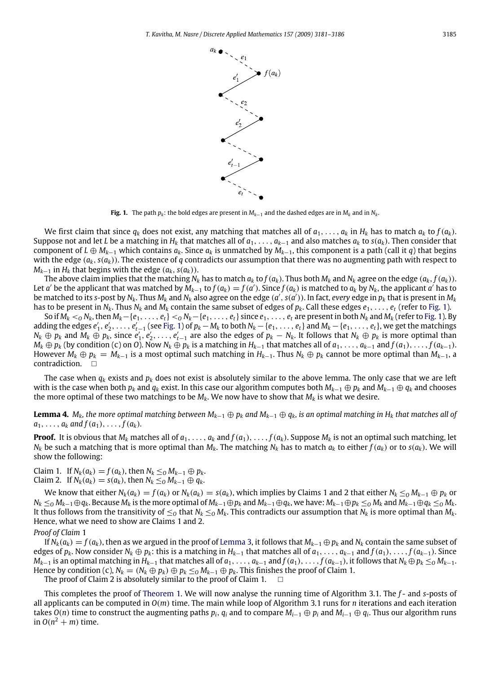<span id="page-4-0"></span>

**Fig. 1.** The path  $p_k$ : the bold edges are present in  $M_{k-1}$  and the dashed edges are in  $M_k$  and in  $N_k$ .

We first claim that since  $q_k$  does not exist, any matching that matches all of  $a_1, \ldots, a_k$  in  $H_k$  has to match  $a_k$  to  $f(a_k)$ . Suppose not and let *L* be a matching in  $H_k$  that matches all of  $a_1, \ldots, a_{k-1}$  and also matches  $a_k$  to  $s(a_k)$ . Then consider that component of *L* ⊕  $M_{k-1}$  which contains  $a_k$ . Since  $a_k$  is unmatched by  $M_{k-1}$ , this component is a path (call it *q*) that begins with the edge  $(a_k, s(a_k))$ . The existence of *q* contradicts our assumption that there was no augmenting path with respect to *M*<sub>*k*−1</sub> in *H*<sub>*k*</sub> that begins with the edge  $(a_k, s(a_k))$ .

The above claim implies that the matching  $N_k$  has to match  $a_k$  to  $f(a_k)$ . Thus both  $M_k$  and  $N_k$  agree on the edge  $(a_k, f(a_k))$ . Let a' be the applicant that was matched by  $M_{k-1}$  to  $f(a_k) = f(a')$ . Since  $f(a_k)$  is matched to  $a_k$  by  $N_k$ , the applicant a' has to be matched to its s-post by  $N_k$ . Thus  $M_k$  and  $N_k$  also agree on the edge  $(a', s(a'))$ . In fact, every edge in  $p_k$  that is present in  $M_k$ has to be present in  $N_k$ . Thus  $N_k$  and  $M_k$  contain the same subset of edges of  $p_k$ . Call these edges  $e_1, \ldots, e_t$  (refer to [Fig. 1\)](#page-4-0).

So if  $M_k <_0 N_k$ , then  $M_k - \{e_1, \ldots, e_t\} <_0 N_k - \{e_1, \ldots, e_t\}$  since  $e_1, \ldots, e_t$  are present in both  $N_k$  and  $M_k$  (refer to [Fig. 1\)](#page-4-0). By adding the edges  $e'_1, e'_2, \ldots, e'_{t-1}$  (see [Fig. 1\)](#page-4-0) of  $p_k - M_k$  to both  $N_k - \{e_1, \ldots, e_t\}$  and  $M_k - \{e_1, \ldots, e_t\}$ , we get the matchings  $N_k \oplus p_k$  and  $M_k \oplus p_k$ , since  $e'_1, e'_2, \ldots, e'_{t-1}$  are also the edges of  $p_k - N_k$ . It follows that  $N_k \oplus p_k$  is more optimal than  $M_k \oplus p_k$  (by condition (c) on O). Now  $N_k \oplus p_k$  is a matching in  $H_{k-1}$  that matches all of  $a_1, \ldots, a_{k-1}$  and  $f(a_1), \ldots, f(a_{k-1})$ . However  $M_k \oplus p_k = M_{k-1}$  is a most optimal such matching in  $H_{k-1}$ . Thus  $N_k \oplus p_k$  cannot be more optimal than  $M_{k-1}$ , a contradiction.

The case when  $q_k$  exists and  $p_k$  does not exist is absolutely similar to the above lemma. The only case that we are left with is the case when both *p<sup>k</sup>* and *q<sup>k</sup>* exist. In this case our algorithm computes both *Mk*−<sup>1</sup> ⊕ *p<sup>k</sup>* and *Mk*−<sup>1</sup> ⊕ *q<sup>k</sup>* and chooses the more optimal of these two matchings to be *Mk*. We now have to show that *M<sup>k</sup>* is what we desire.

**Lemma 4.** *M<sub>k</sub>*, the more optimal matching between  $M_{k-1} \oplus p_k$  and  $M_{k-1} \oplus q_k$ , is an optimal matching in  $H_k$  that matches all of  $a_1, \ldots, a_k$  and  $f(a_1), \ldots, f(a_k)$ .

**Proof.** It is obvious that  $M_k$  matches all of  $a_1, \ldots, a_k$  and  $f(a_1), \ldots, f(a_k)$ . Suppose  $M_k$  is not an optimal such matching, let  $N_k$  be such a matching that is more optimal than  $M_k$ . The matching  $N_k$  has to match  $a_k$  to either  $f(a_k)$  or to  $s(a_k)$ . We will show the following:

 $\text{Claim 1. If } N_k(a_k) = f(a_k)$ , then  $N_k \leq_0 M_{k-1} \oplus p_k$ . Claim 2. If *N*<sup>*k*</sup>( $a_k$ ) = *s*( $a_k$ ), then *N*<sup>*k*</sup> ≤*O M*<sub>*k*−1</sub> ⊕  $q_k$ .

We know that either  $N_k(a_k) = f(a_k)$  or  $N_k(a_k) = s(a_k)$ , which implies by Claims 1 and 2 that either  $N_k \leq_0 M_{k-1} \oplus p_k$  or  $N_k \leq_0 M_{k-1} \oplus q_k$ . Because  $M_k$  is the more optimal of  $M_{k-1} \oplus p_k$  and  $M_{k-1} \oplus q_k$ , we have:  $M_{k-1} \oplus p_k \leq_0 M_k$  and  $M_{k-1} \oplus q_k \leq_0 M_k$ . It thus follows from the transitivity of  $\leq_0$  that  $N_k \leq_0 M_k$ . This contradicts our assumption that  $N_k$  is more optimal than  $M_k$ . Hence, what we need to show are Claims 1 and 2.

*Proof of Claim* 1

If  $N_k(a_k) = f(a_k)$ , then as we argued in the proof of [Lemma 3,](#page-3-1) it follows that  $M_{k-1} \oplus p_k$  and  $N_k$  contain the same subset of edges of  $p_k$ . Now consider  $N_k \oplus p_k$ : this is a matching in  $H_{k-1}$  that matches all of  $a_1, \ldots, a_{k-1}$  and  $f(a_1), \ldots, f(a_{k-1})$ . Since  $M_{k-1}$  is an optimal matching in  $H_{k-1}$  that matches all of  $a_1, \ldots, a_{k-1}$  and  $f(a_1), \ldots, f(a_{k-1})$ , it follows that  $N_k \oplus p_k \leq_0 M_{k-1}$ . Hence by condition (c),  $N_k = (N_k \oplus p_k) \oplus p_k \leq_0 M_{k-1} \oplus p_k$ . This finishes the proof of Claim 1.

The proof of Claim 2 is absolutely similar to the proof of Claim 1.  $\Box$ 

This completes the proof of [Theorem 1.](#page-2-1) We will now analyse the running time of Algorithm 3.1. The *f* - and *s*-posts of all applicants can be computed in *O*(*m*) time. The main while loop of Algorithm 3.1 runs for *n* iterations and each iteration takes  $O(n)$  time to construct the augmenting paths  $p_i$ ,  $q_i$  and to compare  $M_{i-1}\oplus p_i$  and  $M_{i-1}\oplus q_i$ . Thus our algorithm runs in  $O(n^2 + m)$  time.